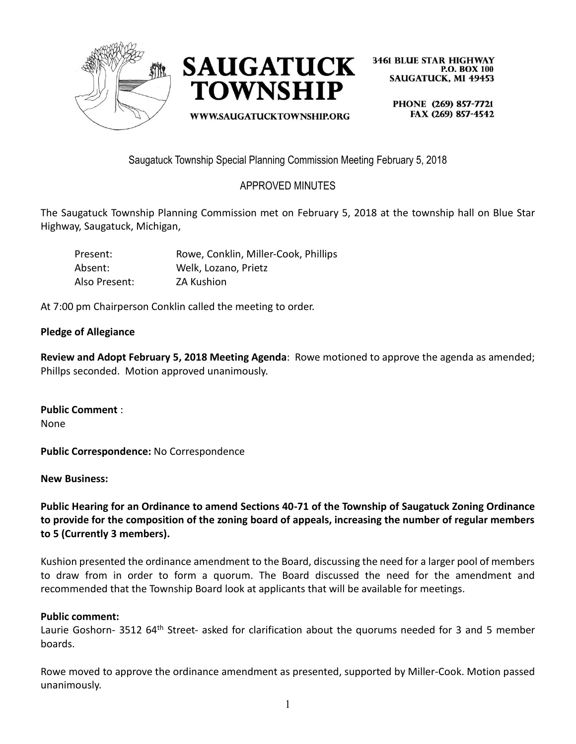



WWW.SAUGATUCKTOWNSHIP.ORG

**3461 BLUE STAR HIGHWAY P.O. BOX 100 SAUGATUCK, MI 49453** 

> PHONE (269) 857-7721 FAX (269) 857-4542

Saugatuck Township Special Planning Commission Meeting February 5, 2018

# APPROVED MINUTES

The Saugatuck Township Planning Commission met on February 5, 2018 at the township hall on Blue Star Highway, Saugatuck, Michigan,

| Present:      | Rowe, Conklin, Miller-Cook, Phillips |
|---------------|--------------------------------------|
| Absent:       | Welk, Lozano, Prietz                 |
| Also Present: | <b>ZA Kushion</b>                    |

At 7:00 pm Chairperson Conklin called the meeting to order.

### **Pledge of Allegiance**

**Review and Adopt February 5, 2018 Meeting Agenda**: Rowe motioned to approve the agenda as amended; Phillps seconded. Motion approved unanimously.

**Public Comment** : None

**Public Correspondence:** No Correspondence

**New Business:**

**Public Hearing for an Ordinance to amend Sections 40-71 of the Township of Saugatuck Zoning Ordinance to provide for the composition of the zoning board of appeals, increasing the number of regular members to 5 (Currently 3 members).**

Kushion presented the ordinance amendment to the Board, discussing the need for a larger pool of members to draw from in order to form a quorum. The Board discussed the need for the amendment and recommended that the Township Board look at applicants that will be available for meetings.

### **Public comment:**

Laurie Goshorn- 3512 64<sup>th</sup> Street- asked for clarification about the quorums needed for 3 and 5 member boards.

Rowe moved to approve the ordinance amendment as presented, supported by Miller-Cook. Motion passed unanimously.